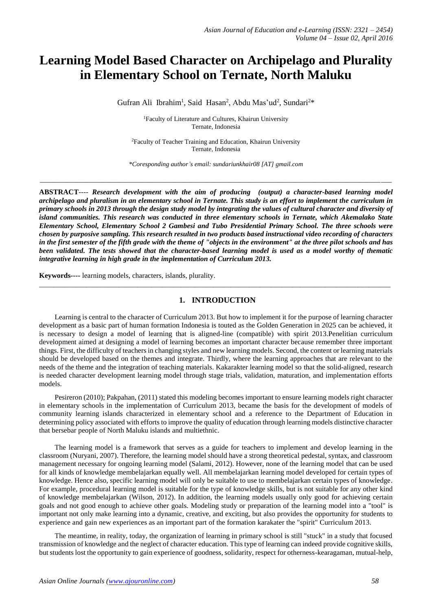# **Learning Model Based Character on Archipelago and Plurality in Elementary School on Ternate, North Maluku**

Gufran Ali Ibrahim<sup>1</sup>, Said Hasan<sup>2</sup>, Abdu Mas'ud<sup>2</sup>, Sundari<sup>2\*</sup>

<sup>1</sup>Faculty of Literature and Cultures, Khairun University Ternate, Indonesia

<sup>2</sup>Faculty of Teacher Training and Education, Khairun University Ternate, Indonesia

*\*Coresponding author's email: sundariunkhair08 [AT] gmail.com*

\_\_\_\_\_\_\_\_\_\_\_\_\_\_\_\_\_\_\_\_\_\_\_\_\_\_\_\_\_\_\_\_\_\_\_\_\_\_\_\_\_\_\_\_\_\_\_\_\_\_\_\_\_\_\_\_\_\_\_\_\_\_\_\_\_\_\_\_\_\_\_\_\_\_\_\_\_\_\_\_\_\_\_\_\_\_\_\_\_\_\_\_\_\_\_\_\_

**ABSTRACT***---- Research development with the aim of producing (output) a character-based learning model archipelago and pluralism in an elementary school in Ternate. This study is an effort to implement the curriculum in primary schools in 2013 through the design study model by integrating the values of cultural character and diversity of island communities. This research was conducted in three elementary schools in Ternate, which Akemalako State Elementary School, Elementary School 2 Gambesi and Tubo Presidential Primary School. The three schools were chosen by purposive sampling. This research resulted in two products based instructional video recording of characters in the first semester of the fifth grade with the theme of "objects in the environment" at the three pilot schools and has been validated. The tests showed that the character-based learning model is used as a model worthy of thematic integrative learning in high grade in the implementation of Curriculum 2013.*

**Keywords----** learning models, characters, islands, plurality.

#### **1. INTRODUCTION**

 $\_$  ,  $\_$  ,  $\_$  ,  $\_$  ,  $\_$  ,  $\_$  ,  $\_$  ,  $\_$  ,  $\_$  ,  $\_$  ,  $\_$  ,  $\_$  ,  $\_$  ,  $\_$  ,  $\_$  ,  $\_$  ,  $\_$  ,  $\_$  ,  $\_$  ,  $\_$  ,  $\_$  ,  $\_$  ,  $\_$  ,  $\_$  ,  $\_$  ,  $\_$  ,  $\_$  ,  $\_$  ,  $\_$  ,  $\_$  ,  $\_$  ,  $\_$  ,  $\_$  ,  $\_$  ,  $\_$  ,  $\_$  ,  $\_$  ,

Learning is central to the character of Curriculum 2013. But how to implement it for the purpose of learning character development as a basic part of human formation Indonesia is touted as the Golden Generation in 2025 can be achieved, it is necessary to design a model of learning that is aligned-line (compatible) with spirit 2013.Penelitian curriculum development aimed at designing a model of learning becomes an important character because remember three important things. First, the difficulty of teachers in changing styles and new learning models. Second, the content or learning materials should be developed based on the themes and integrate. Thirdly, where the learning approaches that are relevant to the needs of the theme and the integration of teaching materials. Kakarakter learning model so that the solid-aligned, research is needed character development learning model through stage trials, validation, maturation, and implementation efforts models.

Pesireron (2010); Pakpahan, (2011) stated this modeling becomes important to ensure learning models right character in elementary schools in the implementation of Curriculum 2013, became the basis for the development of models of community learning islands characterized in elementary school and a reference to the Department of Education in determining policy associated with efforts to improve the quality of education through learning models distinctive character that bersebar people of North Maluku islands and multiethnic.

The learning model is a framework that serves as a guide for teachers to implement and develop learning in the classroom (Nuryani, 2007). Therefore, the learning model should have a strong theoretical pedestal, syntax, and classroom management necessary for ongoing learning model (Salami, 2012). However, none of the learning model that can be used for all kinds of knowledge membelajarkan equally well. All membelajarkan learning model developed for certain types of knowledge. Hence also, specific learning model will only be suitable to use to membelajarkan certain types of knowledge. For example, procedural learning model is suitable for the type of knowledge skills, but is not suitable for any other kind of knowledge membelajarkan (Wilson, 2012). In addition, the learning models usually only good for achieving certain goals and not good enough to achieve other goals. Modeling study or preparation of the learning model into a "tool" is important not only make learning into a dynamic, creative, and exciting, but also provides the opportunity for students to experience and gain new experiences as an important part of the formation karakater the "spirit" Curriculum 2013.

The meantime, in reality, today, the organization of learning in primary school is still "stuck" in a study that focused transmission of knowledge and the neglect of character education. This type of learning can indeed provide cognitive skills, but students lost the opportunity to gain experience of goodness, solidarity, respect for otherness-kearagaman, mutual-help,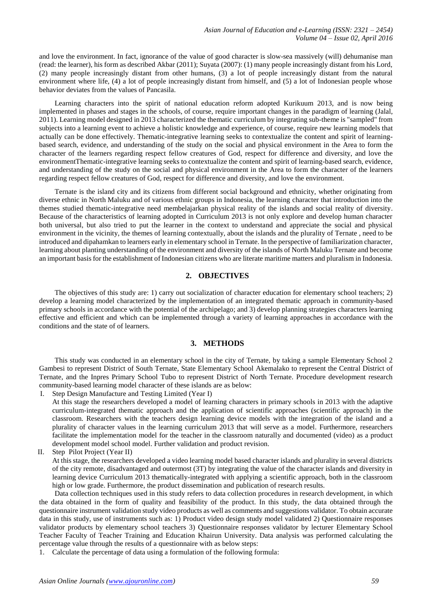and love the environment. In fact, ignorance of the value of good character is slow-sea massively (will) dehumanise man (read: the learner), his form as described Akbar (2011); Suyata (2007): (1) many people increasingly distant from his Lord, (2) many people increasingly distant from other humans, (3) a lot of people increasingly distant from the natural environment where life, (4) a lot of people increasingly distant from himself, and (5) a lot of Indonesian people whose behavior deviates from the values of Pancasila.

Learning characters into the spirit of national education reform adopted Kurikuum 2013, and is now being implemented in phases and stages in the schools, of course, require important changes in the paradigm of learning (Jalal, 2011). Learning model designed in 2013 characterized the thematic curriculum by integrating sub-theme is "sampled" from subjects into a learning event to achieve a holistic knowledge and experience, of course, require new learning models that actually can be done effectively. Thematic-integrative learning seeks to contextualize the content and spirit of learningbased search, evidence, and understanding of the study on the social and physical environment in the Area to form the character of the learners regarding respect fellow creatures of God, respect for difference and diversity, and love the environmentThematic-integrative learning seeks to contextualize the content and spirit of learning-based search, evidence, and understanding of the study on the social and physical environment in the Area to form the character of the learners regarding respect fellow creatures of God, respect for difference and diversity, and love the environment.

Ternate is the island city and its citizens from different social background and ethnicity, whether originating from diverse ethnic in North Maluku and of various ethnic groups in Indonesia, the learning character that introduction into the themes studied thematic-integrative need membelajarkan physical reality of the islands and social reality of diversity. Because of the characteristics of learning adopted in Curriculum 2013 is not only explore and develop human character both universal, but also tried to put the learner in the context to understand and appreciate the social and physical environment in the vicinity, the themes of learning contextually, about the islands and the plurality of Ternate , need to be introduced and dipahamkan to learners early in elementary school in Ternate. In the perspective of familiarization character, learning about planting understanding of the environment and diversity of the islands of North Maluku Ternate and become an important basis for the establishment of Indonesian citizens who are literate maritime matters and pluralism in Indonesia.

# **2. OBJECTIVES**

The objectives of this study are: 1) carry out socialization of character education for elementary school teachers; 2) develop a learning model characterized by the implementation of an integrated thematic approach in community-based primary schools in accordance with the potential of the archipelago; and 3) develop planning strategies characters learning effective and efficient and which can be implemented through a variety of learning approaches in accordance with the conditions and the state of of learners.

#### **3. METHODS**

This study was conducted in an elementary school in the city of Ternate, by taking a sample Elementary School 2 Gambesi to represent District of South Ternate, State Elementary School Akemalako to represent the Central District of Ternate, and the Inpres Primary School Tubo to represent District of North Ternate. Procedure development research community-based learning model character of these islands are as below:

- I. Step Design Manufacture and Testing Limited (Year I)
	- At this stage the researchers developed a model of learning characters in primary schools in 2013 with the adaptive curriculum-integrated thematic approach and the application of scientific approaches (scientific approach) in the classroom. Researchers with the teachers design learning device models with the integration of the island and a plurality of character values in the learning curriculum 2013 that will serve as a model. Furthermore, researchers facilitate the implementation model for the teacher in the classroom naturally and documented (video) as a product development model school model. Further validation and product revision.
- II. Step Pilot Project (Year II)

At this stage, the researchers developed a video learning model based character islands and plurality in several districts of the city remote, disadvantaged and outermost (3T) by integrating the value of the character islands and diversity in learning device Curriculum 2013 thematically-integrated with applying a scientific approach, both in the classroom high or low grade. Furthermore, the product dissemination and publication of research results.

Data collection techniques used in this study refers to data collection procedures in research development, in which the data obtained in the form of quality and feasibility of the product. In this study, the data obtained through the questionnaire instrument validation study video products as well as comments and suggestions validator. To obtain accurate data in this study, use of instruments such as: 1) Product video design study model validated 2) Questionnaire responses validator products by elementary school teachers 3) Questionnaire responses validator by lecturer Elementary School Teacher Faculty of Teacher Training and Education Khairun University. Data analysis was performed calculating the percentage value through the results of a questionnaire with as below steps:

1. Calculate the percentage of data using a formulation of the following formula: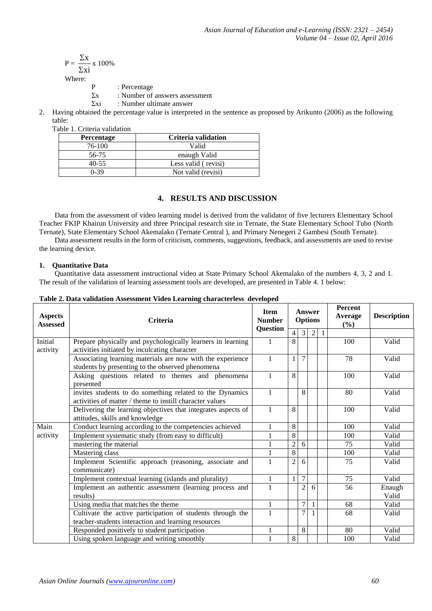$$
P = \frac{\Sigma x}{\Sigma xi} \, x \, 100\%
$$

Where:

P : Percentage

- $\Sigma$ x : Number of answers assessment
- Σxi : Number ultimate answer
- 2. Having obtained the percentage value is interpreted in the sentence as proposed by Arikunto (2006) as the following table:

Table 1. Criteria validation

| <b>Percentage</b> | Criteria validation |
|-------------------|---------------------|
| 76-100            | Valid               |
| 56-75             | enaugh Valid        |
| $40 - 55$         | Less valid (revisi) |
| $0-39$            | Not valid (revisi)  |

# **4. RESULTS AND DISCUSSION**

Data from the assessment of video learning model is derived from the validator of five lecturers Elementary School Teacher FKIP Khairun University and three Principal research site in Ternate, the State Elementary School Tubo (North Ternate), State Elementary School Akemalako (Ternate Central ), and Primary Nenegeri 2 Gambesi (South Ternate).

Data assessment results in the form of criticism, comments, suggestions, feedback, and assessments are used to revise the learning device.

# **1. Quantitative Data**

Quantitative data assessment instructional video at State Primary School Akemalako of the numbers 4, 3, 2 and 1. The result of the validation of learning assessment tools are developed, are presented in Table 4. 1 below:

| <b>Aspects</b><br><b>Assessed</b> | <b>Criteria</b><br><b>Question</b>                            |              | Answer<br><b>Options</b> |                |                |                | <b>Percent</b><br>Average<br>(%) | <b>Description</b> |
|-----------------------------------|---------------------------------------------------------------|--------------|--------------------------|----------------|----------------|----------------|----------------------------------|--------------------|
|                                   |                                                               |              | 4                        | 3              | $\overline{2}$ | $\overline{1}$ |                                  |                    |
| Initial                           | Prepare physically and psychologically learners in learning   | 1            | 8                        |                |                |                | 100                              | Valid              |
| activity                          | activities initiated by inculcating character                 |              |                          |                |                |                |                                  |                    |
|                                   | Associating learning materials are now with the experience    | $\mathbf{1}$ |                          | $\tau$         |                |                | 78                               | Valid              |
|                                   | students by presenting to the observed phenomena              |              |                          |                |                |                |                                  |                    |
|                                   | Asking questions related to themes and phenomena              | $\mathbf{1}$ | 8                        |                |                |                | 100                              | Valid              |
|                                   | presented                                                     |              |                          |                |                |                |                                  |                    |
|                                   | invites students to do something related to the Dynamics      | $\mathbf{1}$ |                          | 8              |                |                | 80                               | Valid              |
|                                   | activities of matter / theme to instill character values      |              |                          |                |                |                |                                  |                    |
|                                   | Delivering the learning objectives that integrates aspects of | $\mathbf{1}$ | 8                        |                |                |                | 100                              | Valid              |
|                                   | attitudes, skills and knowledge                               |              |                          |                |                |                |                                  |                    |
| Main                              | Conduct learning according to the competencies achieved       |              | 8                        |                |                |                | 100                              | Valid              |
| activity                          | Implement systematic study (from easy to difficult)           |              | 8                        |                |                |                | 100                              | Valid              |
|                                   | mastering the material                                        |              | $\overline{c}$           | 6              |                |                | 75                               | Valid              |
|                                   | Mastering class                                               | 1            | 8                        |                |                |                | 100                              | Valid              |
|                                   | Implement Scientific approach (reasoning, associate and       |              | $\overline{2}$           | 6              |                |                | 75                               | Valid              |
|                                   | communicate)                                                  |              |                          |                |                |                |                                  |                    |
|                                   | Implement contextual learning (islands and plurality)         |              |                          | $\overline{7}$ |                |                | 75                               | Valid              |
|                                   | Implement an authentic assessment (learning process and       |              |                          | $\overline{c}$ | 6              |                | 56                               | Enaugh             |
|                                   | results)                                                      |              |                          |                |                |                |                                  | Valid              |
|                                   | Using media that matches the theme                            |              |                          | $\overline{7}$ |                |                | 68                               | Valid              |
|                                   | Cultivate the active participation of students through the    |              |                          | $\overline{7}$ |                |                | 68                               | Valid              |
|                                   | teacher-students interaction and learning resources           |              |                          |                |                |                |                                  |                    |
|                                   | Responded positively to student participation                 | 1            |                          | 8              |                |                | 80                               | Valid              |
|                                   | Using spoken language and writing smoothly                    | $\mathbf{1}$ | 8                        |                |                |                | 100                              | Valid              |

**Table 2. Data validation Assessment Video Learning characterless developed**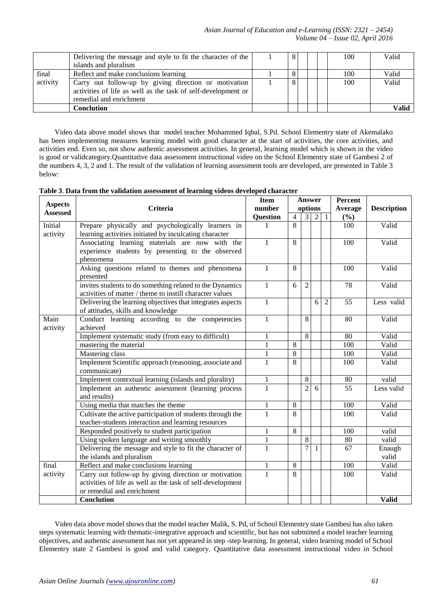|          | Delivering the message and style to fit the character of the  |  | 8 |  | 100 | Valid |
|----------|---------------------------------------------------------------|--|---|--|-----|-------|
|          | islands and pluralism                                         |  |   |  |     |       |
| final    | Reflect and make conclusions learning                         |  |   |  | 100 | Valid |
| activity | Carry out follow-up by giving direction or motivation         |  | 8 |  | 100 | Valid |
|          | activities of life as well as the task of self-development or |  |   |  |     |       |
|          | remedial and enrichment                                       |  |   |  |     |       |
|          | Conclution                                                    |  |   |  |     | Valid |

Video data above model shows that model teacher Mohammed Iqbal, S.Pd. School Elementry state of Akemalako has been implementing measures learning model with good character at the start of activities, the core activities, and activities end. Even so, not show authentic assessment activities. In general, learning model which is shown in the video is good or validcategory.Quantitative data assessment instructional video on the School Elementry state of Gambesi 2 of the numbers 4, 3, 2 and 1. The result of the validation of learning assessment tools are developed, are presented in Table 3 below:

| Table 3. Data from the validation assessment of learning videos developed character |  |
|-------------------------------------------------------------------------------------|--|
|-------------------------------------------------------------------------------------|--|

| <b>Aspects</b>  |                                                            | <b>Item</b>     | <b>Answer</b>  |                |                |                | <b>Percent</b> |                    |
|-----------------|------------------------------------------------------------|-----------------|----------------|----------------|----------------|----------------|----------------|--------------------|
| <b>Assessed</b> | Criteria                                                   | number          |                | options        |                |                | Average        | <b>Description</b> |
|                 |                                                            | <b>Question</b> | $\overline{4}$ | 3              | $\mathfrak{D}$ | 1              | (%)            |                    |
| Initial         | Prepare physically and psychologically learners in         |                 | 8              |                |                |                | 100            | Valid              |
| activity        | learning activities initiated by inculcating character     |                 |                |                |                |                |                |                    |
|                 | Associating learning materials are now with the            | $\mathbf{1}$    | 8              |                |                |                | 100            | Valid              |
|                 | experience students by presenting to the observed          |                 |                |                |                |                |                |                    |
|                 | phenomena                                                  |                 |                |                |                |                |                |                    |
|                 | Asking questions related to themes and phenomena           | $\mathbf{1}$    | 8              |                |                |                | 100            | Valid              |
|                 | presented                                                  |                 |                |                |                |                |                |                    |
|                 | invites students to do something related to the Dynamics   | $\mathbf{1}$    | 6              | $\overline{2}$ |                |                | 78             | Valid              |
|                 | activities of matter / theme to instill character values   |                 |                |                |                |                |                |                    |
|                 | Delivering the learning objectives that integrates aspects | $\mathbf{1}$    |                |                | 6              | $\overline{2}$ | 55             | Less valid         |
|                 | of attitudes, skills and knowledge                         |                 |                |                |                |                |                |                    |
| Main            | Conduct learning according to the competencies             | $\mathbf{1}$    |                | 8              |                |                | 80             | Valid              |
| activity        | achieved                                                   |                 |                |                |                |                |                |                    |
|                 | Implement systematic study (from easy to difficult)        | 1               |                | 8              |                |                | 80             | Valid              |
|                 | mastering the material                                     | $\mathbf{1}$    | $\overline{8}$ |                |                |                | 100            | Valid              |
|                 | Mastering class                                            |                 | 8              |                |                |                | 100            | Valid              |
|                 | Implement Scientific approach (reasoning, associate and    | $\mathbf{1}$    | 8              |                |                |                | 100            | Valid              |
|                 | communicate)                                               |                 |                |                |                |                |                |                    |
|                 | Implement contextual learning (islands and plurality)      | $\mathbf{1}$    |                | 8              |                |                | 80             | valid              |
|                 | Implement an authentic assessment (learning process        | $\mathbf{1}$    |                | $\overline{2}$ | 6              |                | 55             | Less valid         |
|                 | and results)                                               |                 |                |                |                |                |                |                    |
|                 | Using media that matches the theme                         | $\mathbf{1}$    | 8              |                |                |                | 100            | Valid              |
|                 | Cultivate the active participation of students through the | $\mathbf{1}$    | 8              |                |                |                | 100            | Valid              |
|                 | teacher-students interaction and learning resources        |                 |                |                |                |                |                |                    |
|                 | Responded positively to student participation              | 1               | 8              |                |                |                | 100            | valid              |
|                 | Using spoken language and writing smoothly                 | $\mathbf{1}$    |                | $\overline{8}$ |                |                | 80             | valid              |
|                 | Delivering the message and style to fit the character of   | $\mathbf{1}$    |                | 7              |                |                | 67             | Enaugh             |
|                 | the islands and pluralism                                  |                 |                |                |                |                |                | valid              |
| final           | Reflect and make conclusions learning                      | 1               | 8              |                |                |                | 100            | Valid              |
| activity        | Carry out follow-up by giving direction or motivation      | $\mathbf{1}$    | 8              |                |                |                | 100            | Valid              |
|                 | activities of life as well as the task of self-development |                 |                |                |                |                |                |                    |
|                 | or remedial and enrichment                                 |                 |                |                |                |                |                |                    |
|                 | Conclution                                                 |                 |                |                |                |                |                | <b>Valid</b>       |

Video data above model shows that the model teacher Malik, S. Pd, of School Elementry state Gambesi has also taken steps systematic learning with thematic-integrative approach and scientific, but has not submitted a model teacher learning objectives, and authentic assessment has not yet appeared in step -step learning. In general, video learning model of School Elementry state 2 Gambesi is good and valid category. Quantitative data assessment instructional video in School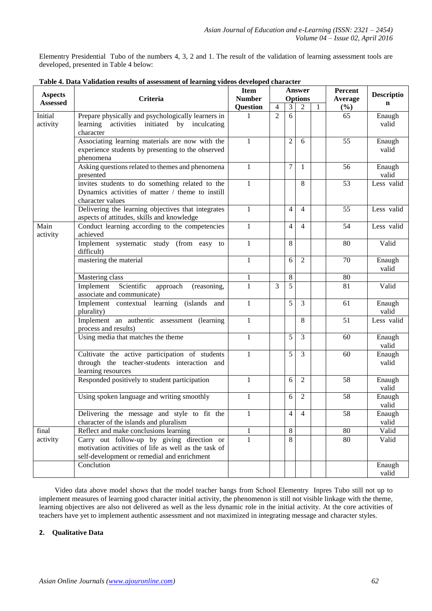Elementry Presidential Tubo of the numbers 4, 3, 2 and 1. The result of the validation of learning assessment tools are developed, presented in Table 4 below:

| <b>Aspects</b>   | Criteria                                                                                                                                          |                 | <b>Item</b><br><b>Answer</b><br><b>Number</b><br><b>Options</b> |                |                | Percent      | <b>Descriptio</b> |                 |
|------------------|---------------------------------------------------------------------------------------------------------------------------------------------------|-----------------|-----------------------------------------------------------------|----------------|----------------|--------------|-------------------|-----------------|
| <b>Assessed</b>  |                                                                                                                                                   |                 | $\overline{4}$                                                  | 3              | $\overline{2}$ | $\mathbf{1}$ | Average<br>$(\%)$ | $\mathbf n$     |
| Initial          | Prepare physically and psychologically learners in                                                                                                | <b>Question</b> | $\overline{2}$                                                  | 6              |                |              | 65                | Enaugh          |
| activity         | learning<br>activities initiated by inculcating<br>character                                                                                      |                 |                                                                 |                |                |              |                   | valid           |
|                  | Associating learning materials are now with the<br>experience students by presenting to the observed<br>phenomena                                 | $\mathbf{1}$    |                                                                 | $\overline{2}$ | 6              |              | 55                | Enaugh<br>valid |
|                  | Asking questions related to themes and phenomena<br>presented                                                                                     | $\mathbf{1}$    |                                                                 | 7              | 1              |              | 56                | Enaugh<br>valid |
|                  | invites students to do something related to the<br>Dynamics activities of matter / theme to instill<br>character values                           | 1               |                                                                 |                | 8              |              | 53                | Less valid      |
|                  | Delivering the learning objectives that integrates<br>aspects of attitudes, skills and knowledge                                                  | $\mathbf{1}$    |                                                                 | 4              | 4              |              | 55                | Less valid      |
| Main<br>activity | Conduct learning according to the competencies<br>achieved                                                                                        | $\mathbf{1}$    |                                                                 | 4              | $\overline{4}$ |              | 54                | Less valid      |
|                  | Implement systematic study (from easy to<br>difficult)                                                                                            | $\mathbf{1}$    |                                                                 | 8              |                |              | 80                | Valid           |
|                  | mastering the material                                                                                                                            | $\mathbf{1}$    |                                                                 | 6              | $\overline{2}$ |              | 70                | Enaugh<br>valid |
|                  | Mastering class                                                                                                                                   | $\mathbf{1}$    |                                                                 | 8              |                |              | 80                |                 |
|                  | Scientific<br>Implement<br>approach<br>(reasoning,<br>associate and communicate)                                                                  |                 | 3                                                               | $\overline{5}$ |                |              | 81                | Valid           |
|                  | Implement contextual learning (islands and<br>plurality)                                                                                          |                 |                                                                 | 5              | 3              |              | 61                | Enaugh<br>valid |
|                  | Implement an authentic assessment (learning<br>process and results)                                                                               |                 |                                                                 |                | 8              |              | 51                | Less valid      |
|                  | Using media that matches the theme                                                                                                                | $\mathbf{1}$    |                                                                 | 5              | 3              |              | 60                | Enaugh<br>valid |
|                  | Cultivate the active participation of students<br>through the teacher-students interaction and<br>learning resources                              | $\mathbf{1}$    |                                                                 | 5              | 3              |              | 60                | Enaugh<br>valid |
|                  | Responded positively to student participation                                                                                                     | $\mathbf{1}$    |                                                                 | 6              | 2              |              | 58                | Enaugh<br>valid |
|                  | Using spoken language and writing smoothly                                                                                                        | 1               |                                                                 | 6              | $\overline{2}$ |              | 58                | Enaugh<br>valid |
|                  | Delivering the message and style to fit the<br>character of the islands and pluralism                                                             | $\perp$         |                                                                 | 4              | 4              |              | $\overline{58}$   | Enaugh<br>valid |
| final            | Reflect and make conclusions learning                                                                                                             | $\mathbf{1}$    |                                                                 | $8\,$          |                |              | 80                | Valid           |
| activity         | Carry out follow-up by giving direction or<br>motivation activities of life as well as the task of<br>self-development or remedial and enrichment | 1               |                                                                 | 8              |                |              | 80                | Valid           |
|                  | Conclution                                                                                                                                        |                 |                                                                 |                |                |              |                   | Enaugh<br>valid |

**Table 4. Data Validation results of assessment of learning videos developed character**

Video data above model shows that the model teacher bangs from School Elementry Inpres Tubo still not up to implement measures of learning good character initial activity, the phenomenon is still not visible linkage with the theme, learning objectives are also not delivered as well as the less dynamic role in the initial activity. At the core activities of teachers have yet to implement authentic assessment and not maximized in integrating message and character styles.

### **2. Qualitative Data**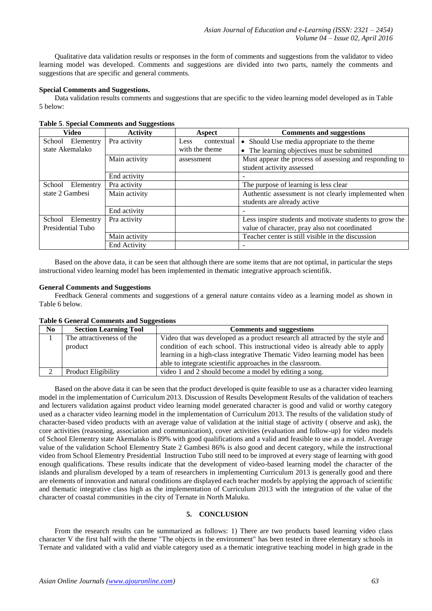Qualitative data validation results or responses in the form of comments and suggestions from the validator to video learning model was developed. Comments and suggestions are divided into two parts, namely the comments and suggestions that are specific and general comments.

#### **Special Comments and Suggestions.**

Data validation results comments and suggestions that are specific to the video learning model developed as in Table 5 below:

| <b>Video</b>        | <b>Activity</b> | <b>Aspect</b>             | <b>Comments and suggestions</b>                         |
|---------------------|-----------------|---------------------------|---------------------------------------------------------|
| Elementry<br>School | Pra activity    | contextual<br><b>Less</b> | • Should Use media appropriate to the theme             |
| state Akemalako     |                 | with the theme            | • The learning objectives must be submitted             |
|                     | Main activity   | assessment                | Must appear the process of assessing and responding to  |
|                     |                 |                           | student activity assessed                               |
|                     | End activity    |                           |                                                         |
| School<br>Elementry | Pra activity    |                           | The purpose of learning is less clear                   |
| state 2 Gambesi     | Main activity   |                           | Authentic assessment is not clearly implemented when    |
|                     |                 |                           | students are already active                             |
|                     | End activity    |                           |                                                         |
| School<br>Elementry | Pra activity    |                           | Less inspire students and motivate students to grow the |
| Presidential Tubo   |                 |                           | value of character, pray also not coordinated           |
|                     | Main activity   |                           | Teacher center is still visible in the discussion       |
|                     | End Activity    |                           |                                                         |

**Table 5**. **Special Comments and Suggestions**

Based on the above data, it can be seen that although there are some items that are not optimal, in particular the steps instructional video learning model has been implemented in thematic integrative approach scientifik.

#### **General Comments and Suggestions**

Feedback General comments and suggestions of a general nature contains video as a learning model as shown in Table 6 below.

**Table 6 General Comments and Suggestions**

| No | <b>Section Learning Tool</b> | <b>Comments and suggestions</b>                                               |
|----|------------------------------|-------------------------------------------------------------------------------|
|    | The attractiveness of the    | Video that was developed as a product research all attracted by the style and |
|    | product                      | condition of each school. This instructional video is already able to apply   |
|    |                              | learning in a high-class integrative Thematic Video learning model has been   |
|    |                              | able to integrate scientific approaches in the classroom.                     |
|    | <b>Product Eligibility</b>   | video 1 and 2 should become a model by editing a song.                        |

Based on the above data it can be seen that the product developed is quite feasible to use as a character video learning model in the implementation of Curriculum 2013. Discussion of Results Development Results of the validation of teachers and lecturers validation against product video learning model generated character is good and valid or worthy category used as a character video learning model in the implementation of Curriculum 2013. The results of the validation study of character-based video products with an average value of validation at the initial stage of activity ( observe and ask), the core activities (reasoning, association and communication), cover activities (evaluation and follow-up) for video models of School Elementry state Akemalako is 89% with good qualifications and a valid and feasible to use as a model. Average value of the validation School Elementry State 2 Gambesi 86% is also good and decent category, while the instructional video from School Elementry Presidential Instruction Tubo still need to be improved at every stage of learning with good enough qualifications. These results indicate that the development of video-based learning model the character of the islands and pluralism developed by a team of researchers in implementing Curriculum 2013 is generally good and there are elements of innovation and natural conditions are displayed each teacher models by applying the approach of scientific and thematic integrative class high as the implementation of Curriculum 2013 with the integration of the value of the character of coastal communities in the city of Ternate in North Maluku.

## **5. CONCLUSION**

From the research results can be summarized as follows: 1) There are two products based learning video class character V the first half with the theme "The objects in the environment" has been tested in three elementary schools in Ternate and validated with a valid and viable category used as a thematic integrative teaching model in high grade in the